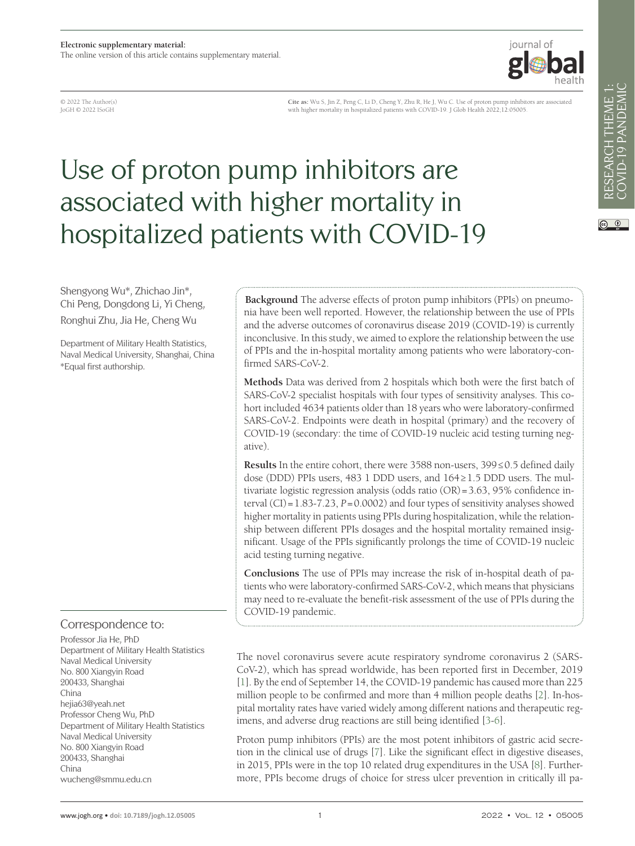

© 2022 The Author(s) JoGH © 2022 ISoGH

**Cite as:** Wu S, Jin Z, Peng C, Li D, Cheng Y, Zhu R, He J, Wu C. Use of proton pump inhibitors are associated with higher mortality in hospitalized patients with COVID-19. J Glob Health 2022;12:05005

# Use of proton pump inhibitors are associated with higher mortality in hospitalized patients with COVID-19

Shengyong Wu\*, Zhichao Jin\*, Chi Peng, Dongdong Li, Yi Cheng, Ronghui Zhu, Jia He, Cheng Wu

Department of Military Health Statistics, Naval Medical University, Shanghai, China \*Equal first authorship.

## Correspondence to:

Professor Jia He, PhD Department of Military Health Statistics Naval Medical University No. 800 Xiangyin Road 200433, Shanghai China hejia63@yeah.net Professor Cheng Wu, PhD Department of Military Health Statistics Naval Medical University No. 800 Xiangyin Road 200433, Shanghai China wucheng@smmu.edu.cn

**Background** The adverse effects of proton pump inhibitors (PPIs) on pneumonia have been well reported. However, the relationship between the use of PPIs and the adverse outcomes of coronavirus disease 2019 (COVID-19) is currently inconclusive. In this study, we aimed to explore the relationship between the use of PPIs and the in-hospital mortality among patients who were laboratory-confirmed SARS-CoV-2.

**Methods** Data was derived from 2 hospitals which both were the first batch of SARS-CoV-2 specialist hospitals with four types of sensitivity analyses. This cohort included 4634 patients older than 18 years who were laboratory-confirmed SARS-CoV-2. Endpoints were death in hospital (primary) and the recovery of COVID-19 (secondary: the time of COVID-19 nucleic acid testing turning negative).

**Results** In the entire cohort, there were 3588 non-users, 399≤0.5 defined daily dose (DDD) PPIs users, 483 1 DDD users, and 164≥1.5 DDD users. The multivariate logistic regression analysis (odds ratio (OR)=3.63, 95% confidence interval (CI)=1.83-7.23, *P*=0.0002) and four types of sensitivity analyses showed higher mortality in patients using PPIs during hospitalization, while the relationship between different PPIs dosages and the hospital mortality remained insignificant. Usage of the PPIs significantly prolongs the time of COVID-19 nucleic acid testing turning negative.

**Conclusions** The use of PPIs may increase the risk of in-hospital death of patients who were laboratory-confirmed SARS-CoV-2, which means that physicians may need to re-evaluate the benefit-risk assessment of the use of PPIs during the COVID-19 pandemic.

The novel coronavirus severe acute respiratory syndrome coronavirus 2 (SARS-CoV-2), which has spread worldwide, has been reported first in December, 2019 [\[1](#page-6-0)]. By the end of September 14, the COVID-19 pandemic has caused more than 225 million people to be confirmed and more than 4 million people deaths [\[2](#page-6-1)]. In-hospital mortality rates have varied widely among different nations and therapeutic regimens, and adverse drug reactions are still being identified [\[3-](#page-6-2)[6\]](#page-6-3).

Proton pump inhibitors (PPIs) are the most potent inhibitors of gastric acid secretion in the clinical use of drugs [\[7](#page-6-4)]. Like the significant effect in digestive diseases, in 2015, PPIs were in the top 10 related drug expenditures in the USA [\[8](#page-6-5)]. Furthermore, PPIs become drugs of choice for stress ulcer prevention in critically ill pa $\circledcirc$   $\circledcirc$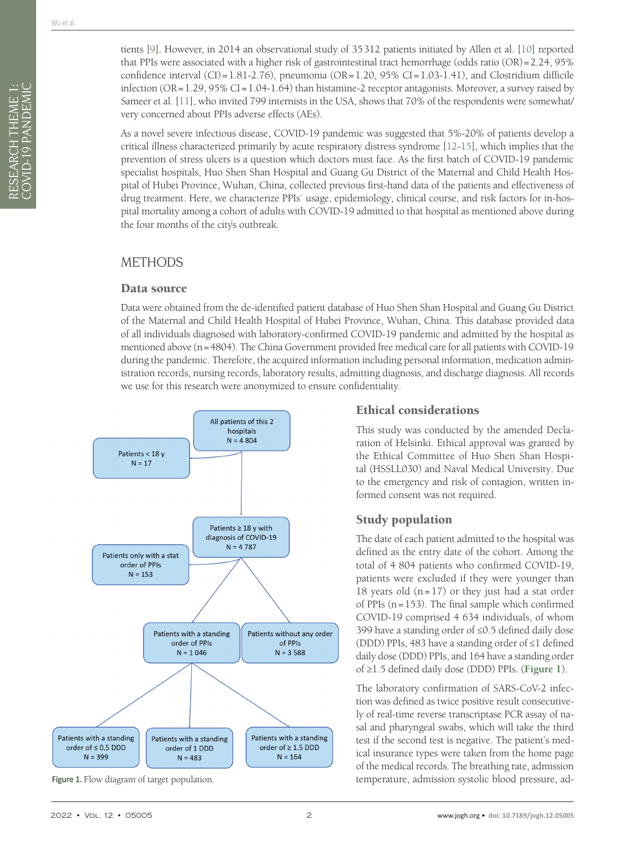tients [[9\]](#page-6-6). However, in 2014 an observational study of 35312 patients initiated by Allen et al. [[10\]](#page-6-7) reported that PPIs were associated with a higher risk of gastrointestinal tract hemorrhage (odds ratio (OR)=2.24, 95% confidence interval (CI)=1.81-2.76), pneumonia (OR=1.20, 95% CI=1.03-1.41), and Clostridium difficile infection (OR=1.29, 95% CI=1.04-1.64) than histamine-2 receptor antagonists. Moreover, a survey raised by Sameer et al. [[11](#page-6-8)], who invited 799 internists in the USA, shows that 70% of the respondents were somewhat/ very concerned about PPIs adverse effects (AEs).

As a novel severe infectious disease, COVID-19 pandemic was suggested that 5%-20% of patients develop a critical illness characterized primarily by acute respiratory distress syndrome [[12](#page-6-9)[-15](#page-6-10)], which implies that the prevention of stress ulcers is a question which doctors must face. As the first batch of COVID-19 pandemic specialist hospitals, Huo Shen Shan Hospital and Guang Gu District of the Maternal and Child Health Hospital of Hubei Province, Wuhan, China, collected previous first-hand data of the patients and effectiveness of drug treatment. Here, we characterize PPIs` usage, epidemiology, clinical course, and risk factors for in-hospital mortality among a cohort of adults with COVID-19 admitted to that hospital as mentioned above during the four months of the city's outbreak.

# **METHODS**

#### Data source

Data were obtained from the de-identified patient database of Huo Shen Shan Hospital and Guang Gu District of the Maternal and Child Health Hospital of Hubei Province, Wuhan, China. This database provided data of all individuals diagnosed with laboratory-confirmed COVID-19 pandemic and admitted by the hospital as mentioned above (n=4804). The China Government provided free medical care for all patients with COVID-19 during the pandemic. Therefore, the acquired information including personal information, medication administration records, nursing records, laboratory results, admitting diagnosis, and discharge diagnosis. All records we use for this research were anonymized to ensure confidentiality.

<span id="page-1-0"></span>

## Ethical considerations

This study was conducted by the amended Declaration of Helsinki. Ethical approval was granted by the Ethical Committee of Huo Shen Shan Hospital (HSSLL030) and Naval Medical University. Due to the emergency and risk of contagion, written informed consent was not required.

## Study population

The date of each patient admitted to the hospital was defined as the entry date of the cohort. Among the total of 4 804 patients who confirmed COVID-19, patients were excluded if they were younger than 18 years old  $(n=17)$  or they just had a stat order of PPIs  $(n=153)$ . The final sample which confirmed COVID-19 comprised 4 634 individuals, of whom 399 have a standing order of ≤0.5 defined daily dose (DDD) PPIs, 483 have a standing order of ≤1 defined daily dose (DDD) PPIs, and 164 have a standing order of ≥1.5 defined daily dose (DDD) PPIs. (**[Figure](#page-1-0) 1**).

The laboratory confirmation of SARS-CoV-2 infection was defined as twice positive result consecutively of real-time reverse transcriptase PCR assay of nasal and pharyngeal swabs, which will take the third test if the second test is negative. The patient's medical insurance types were taken from the home page of the medical records. The breathing rate, admission **Figure 1.** Flow diagram of target population. The state of the state of temperature, admission systolic blood pressure, ad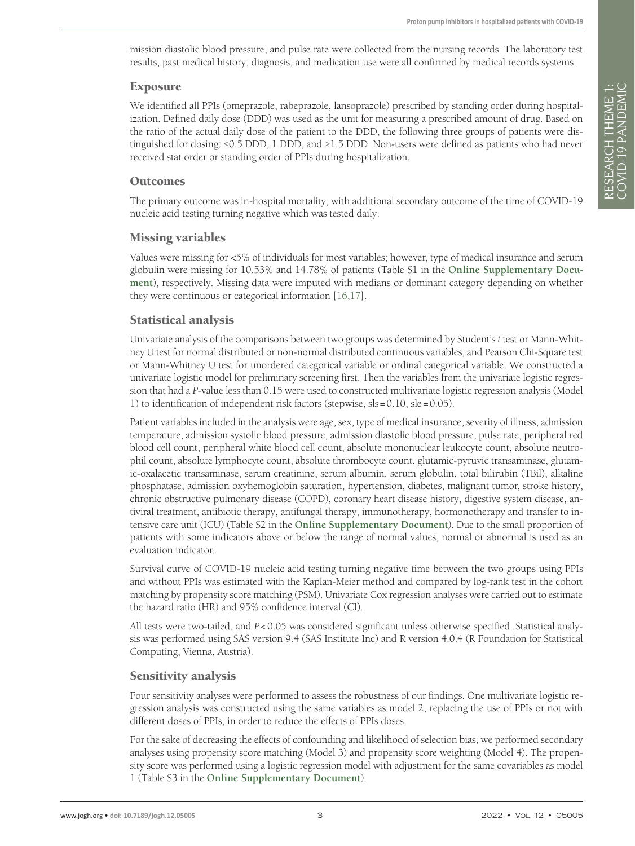mission diastolic blood pressure, and pulse rate were collected from the nursing records. The laboratory test results, past medical history, diagnosis, and medication use were all confirmed by medical records systems.

#### Exposure

We identified all PPIs (omeprazole, rabeprazole, lansoprazole) prescribed by standing order during hospitalization. Defined daily dose (DDD) was used as the unit for measuring a prescribed amount of drug. Based on the ratio of the actual daily dose of the patient to the DDD, the following three groups of patients were distinguished for dosing: ≤0.5 DDD, 1 DDD, and ≥1.5 DDD. Non-users were defined as patients who had never received stat order or standing order of PPIs during hospitalization.

#### **Outcomes**

The primary outcome was in-hospital mortality, with additional secondary outcome of the time of COVID-19 nucleic acid testing turning negative which was tested daily.

## Missing variables

Values were missing for <5% of individuals for most variables; however, type of medical insurance and serum globulin were missing for 10.53% and 14.78% of patients (Table S1 in the **Online [Supplementary](#page-5-0) Docu[ment](#page-5-0)**), respectively. Missing data were imputed with medians or dominant category depending on whether they were continuous or categorical information [[16](#page-6-11)[,17\]](#page-6-12).

# Statistical analysis

Univariate analysis of the comparisons between two groups was determined by Student's *t* test or Mann-Whitney U test for normal distributed or non-normal distributed continuous variables, and Pearson Chi-Square test or Mann-Whitney U test for unordered categorical variable or ordinal categorical variable. We constructed a univariate logistic model for preliminary screening first. Then the variables from the univariate logistic regression that had a *P*-value less than 0.15 were used to constructed multivariate logistic regression analysis (Model 1) to identification of independent risk factors (stepwise, sls=0.10, sle=0.05).

Patient variables included in the analysis were age, sex, type of medical insurance, severity of illness, admission temperature, admission systolic blood pressure, admission diastolic blood pressure, pulse rate, peripheral red blood cell count, peripheral white blood cell count, absolute mononuclear leukocyte count, absolute neutrophil count, absolute lymphocyte count, absolute thrombocyte count, glutamic-pyruvic transaminase, glutamic-oxalacetic transaminase, serum creatinine, serum albumin, serum globulin, total bilirubin (TBil), alkaline phosphatase, admission oxyhemoglobin saturation, hypertension, diabetes, malignant tumor, stroke history, chronic obstructive pulmonary disease (COPD), coronary heart disease history, digestive system disease, antiviral treatment, antibiotic therapy, antifungal therapy, immunotherapy, hormonotherapy and transfer to intensive care unit (ICU) (Table S2 in the **Online [Supplementary](#page-5-0) Document**). Due to the small proportion of patients with some indicators above or below the range of normal values, normal or abnormal is used as an evaluation indicator.

Survival curve of COVID-19 nucleic acid testing turning negative time between the two groups using PPIs and without PPIs was estimated with the Kaplan-Meier method and compared by log-rank test in the cohort matching by propensity score matching (PSM). Univariate Cox regression analyses were carried out to estimate the hazard ratio (HR) and 95% confidence interval (CI).

All tests were two-tailed, and *P*<0.05 was considered significant unless otherwise specified. Statistical analysis was performed using SAS version 9.4 (SAS Institute Inc) and R version 4.0.4 (R Foundation for Statistical Computing, Vienna, Austria).

# Sensitivity analysis

Four sensitivity analyses were performed to assess the robustness of our findings. One multivariate logistic regression analysis was constructed using the same variables as model 2, replacing the use of PPIs or not with different doses of PPIs, in order to reduce the effects of PPIs doses.

For the sake of decreasing the effects of confounding and likelihood of selection bias, we performed secondary analyses using propensity score matching (Model 3) and propensity score weighting (Model 4). The propensity score was performed using a logistic regression model with adjustment for the same covariables as model 1 (Table S3 in the **Online [Supplementary](#page-5-0) Document**).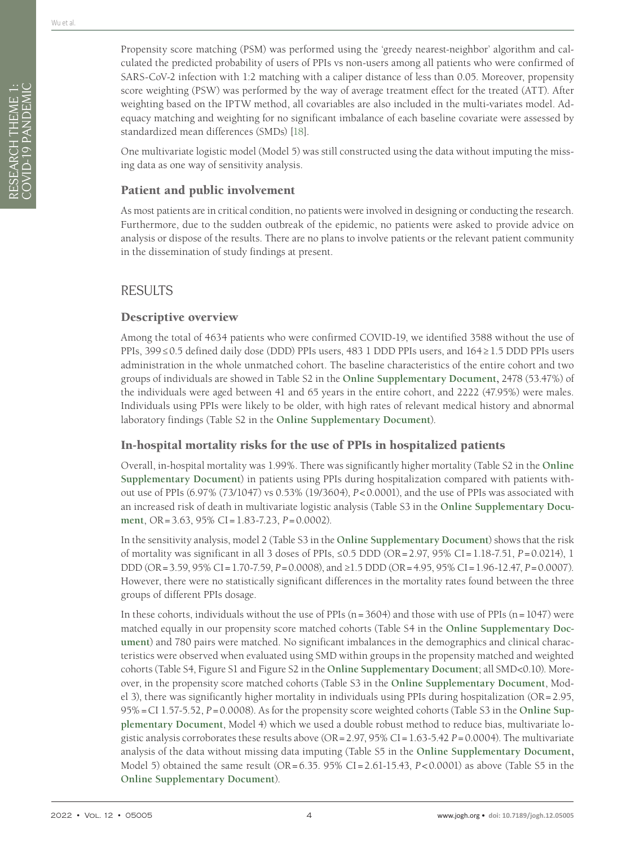Propensity score matching (PSM) was performed using the 'greedy nearest-neighbor' algorithm and calculated the predicted probability of users of PPIs vs non-users among all patients who were confirmed of SARS-CoV-2 infection with 1:2 matching with a caliper distance of less than 0.05. Moreover, propensity score weighting (PSW) was performed by the way of average treatment effect for the treated (ATT). After weighting based on the IPTW method, all covariables are also included in the multi-variates model. Adequacy matching and weighting for no significant imbalance of each baseline covariate were assessed by standardized mean differences (SMDs) [\[18\]](#page-6-13).

One multivariate logistic model (Model 5) was still constructed using the data without imputing the missing data as one way of sensitivity analysis.

## Patient and public involvement

As most patients are in critical condition, no patients were involved in designing or conducting the research. Furthermore, due to the sudden outbreak of the epidemic, no patients were asked to provide advice on analysis or dispose of the results. There are no plans to involve patients or the relevant patient community in the dissemination of study findings at present.

# RESULTS

## Descriptive overview

Among the total of 4634 patients who were confirmed COVID-19, we identified 3588 without the use of PPIs, 399≤0.5 defined daily dose (DDD) PPIs users, 483 1 DDD PPIs users, and 164 ≥1.5 DDD PPIs users administration in the whole unmatched cohort. The baseline characteristics of the entire cohort and two groups of individuals are showed in Table S2 in the **Online [Supplementary](#page-5-0) Document,** 2478 (53.47%) of the individuals were aged between 41 and 65 years in the entire cohort, and 2222 (47.95%) were males. Individuals using PPIs were likely to be older, with high rates of relevant medical history and abnormal laboratory findings (Table S2 in the **Online [Supplementary](#page-5-0) Document**).

# In-hospital mortality risks for the use of PPIs in hospitalized patients

Overall, in-hospital mortality was 1.99%. There was significantly higher mortality (Table S2 in the **[Online](#page-5-0) [Supplementary](#page-5-0) Document**) in patients using PPIs during hospitalization compared with patients without use of PPIs (6.97% (73/1047) vs 0.53% (19/3604), *P*<0.0001), and the use of PPIs was associated with an increased risk of death in multivariate logistic analysis (Table S3 in the **Online [Supplementary](#page-5-0) Docu[ment](#page-5-0)**, OR=3.63, 95% CI=1.83-7.23, *P*=0.0002).

In the sensitivity analysis, model 2 (Table S3 in the **Online [Supplementary](#page-5-0) Document**) shows that the risk of mortality was significant in all 3 doses of PPIs, ≤0.5 DDD (OR=2.97, 95% CI=1.18-7.51, *P*=0.0214), 1 DDD (OR=3.59, 95% CI=1.70-7.59, *P*=0.0008), and ≥1.5 DDD (OR=4.95, 95% CI=1.96-12.47, *P*=0.0007). However, there were no statistically significant differences in the mortality rates found between the three groups of different PPIs dosage.

In these cohorts, individuals without the use of PPIs  $(n=3604)$  and those with use of PPIs  $(n=1047)$  were matched equally in our propensity score matched cohorts (Table S4 in the **Online [Supplementary](#page-5-0) Doc[ument](#page-5-0)**) and 780 pairs were matched. No significant imbalances in the demographics and clinical characteristics were observed when evaluated using SMD within groups in the propensity matched and weighted cohorts (Table S4, Figure S1 and Figure S2 in the **Online [Supplementary](#page-5-0) Document**; all SMD<0.10). Moreover, in the propensity score matched cohorts (Table S3 in the **Online [Supplementary](#page-5-0) Document**, Model 3), there was significantly higher mortality in individuals using PPIs during hospitalization (OR=2.95, 95%=CI 1.57-5.52, *P*=0.0008). As for the propensity score weighted cohorts (Table S3 in the **[Online](#page-5-0) Sup[plementary](#page-5-0) Document**, Model 4) which we used a double robust method to reduce bias, multivariate logistic analysis corroborates these results above (OR=2.97, 95% CI=1.63-5.42 *P*=0.0004). The multivariate analysis of the data without missing data imputing (Table S5 in the **Online [Supplementary](#page-5-0) Document,** Model 5) obtained the same result (OR=6.35. 95% CI=2.61-15.43, *P*<0.0001) as above (Table S5 in the **Online [Supplementary](#page-5-0) Document**).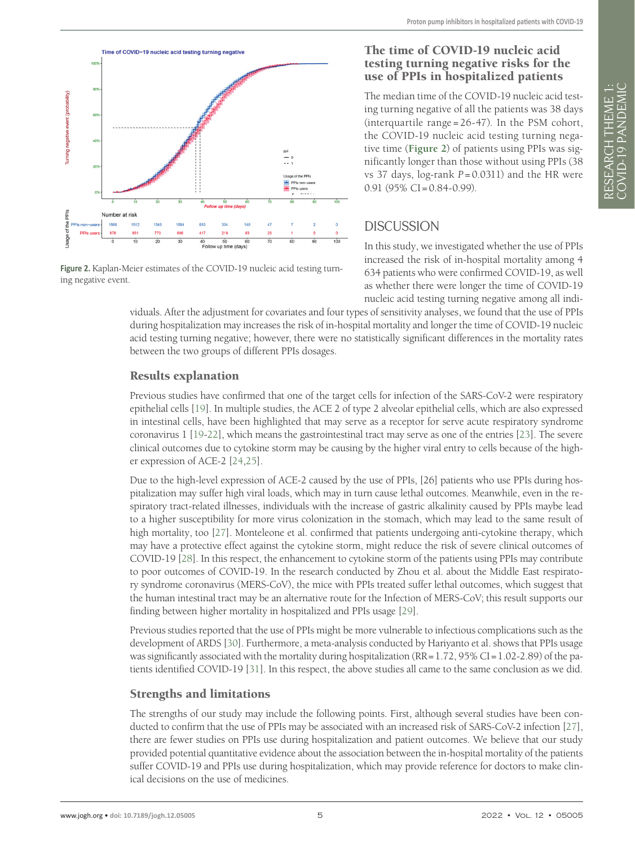<span id="page-4-0"></span>

**Figure 2.** Kaplan-Meier estimates of the COVID-19 nucleic acid testing turning negative event.

#### The time of COVID-19 nucleic acid testing turning negative risks for the use of PPIs in hospitalized patients

The median time of the COVID-19 nucleic acid testing turning negative of all the patients was 38 days (interquartile range = 26-47). In the PSM cohort, the COVID-19 nucleic acid testing turning negative time (**[Figure](#page-4-0) 2**) of patients using PPIs was significantly longer than those without using PPIs (38 vs 37 days, log-rank *P* = 0.0311) and the HR were  $0.91$  (95% CI = 0.84-0.99).

# DISCUSSION

In this study, we investigated whether the use of PPIs increased the risk of in-hospital mortality among 4 634 patients who were confirmed COVID-19, as well as whether there were longer the time of COVID-19 nucleic acid testing turning negative among all indi-

viduals. After the adjustment for covariates and four types of sensitivity analyses, we found that the use of PPIs during hospitalization may increases the risk of in-hospital mortality and longer the time of COVID-19 nucleic acid testing turning negative; however, there were no statistically significant differences in the mortality rates between the two groups of different PPIs dosages.

## Results explanation

Previous studies have confirmed that one of the target cells for infection of the SARS-CoV-2 were respiratory epithelial cells [[19\]](#page-6-14). In multiple studies, the ACE 2 of type 2 alveolar epithelial cells, which are also expressed in intestinal cells, have been highlighted that may serve as a receptor for serve acute respiratory syndrome coronavirus 1 [\[19](#page-6-14)-[22\]](#page-6-15), which means the gastrointestinal tract may serve as one of the entries [\[23](#page-6-16)]. The severe clinical outcomes due to cytokine storm may be causing by the higher viral entry to cells because of the higher expression of ACE-2 [\[24](#page-6-17),[25\]](#page-7-0).

Due to the high-level expression of ACE-2 caused by the use of PPIs, [26] patients who use PPIs during hospitalization may suffer high viral loads, which may in turn cause lethal outcomes. Meanwhile, even in the respiratory tract-related illnesses, individuals with the increase of gastric alkalinity caused by PPIs maybe lead to a higher susceptibility for more virus colonization in the stomach, which may lead to the same result of high mortality, too [[27](#page-7-1)]. Monteleone et al. confirmed that patients undergoing anti-cytokine therapy, which may have a protective effect against the cytokine storm, might reduce the risk of severe clinical outcomes of COVID-19 [\[28](#page-7-2)]. In this respect, the enhancement to cytokine storm of the patients using PPIs may contribute to poor outcomes of COVID-19. In the research conducted by Zhou et al. about the Middle East respiratory syndrome coronavirus (MERS-CoV), the mice with PPIs treated suffer lethal outcomes, which suggest that the human intestinal tract may be an alternative route for the Infection of MERS-CoV; this result supports our finding between higher mortality in hospitalized and PPIs usage [\[29](#page-7-3)].

Previous studies reported that the use of PPIs might be more vulnerable to infectious complications such as the development of ARDS [\[30](#page-7-4)]. Furthermore, a meta-analysis conducted by Hariyanto et al. shows that PPIs usage was significantly associated with the mortality during hospitalization (RR=1.72, 95% CI=1.02-2.89) of the patients identified COVID-19 [[31\]](#page-7-5). In this respect, the above studies all came to the same conclusion as we did.

## Strengths and limitations

The strengths of our study may include the following points. First, although several studies have been conducted to confirm that the use of PPIs may be associated with an increased risk of SARS-CoV-2 infection [\[27](#page-7-1)], there are fewer studies on PPIs use during hospitalization and patient outcomes. We believe that our study provided potential quantitative evidence about the association between the in-hospital mortality of the patients suffer COVID-19 and PPIs use during hospitalization, which may provide reference for doctors to make clinical decisions on the use of medicines.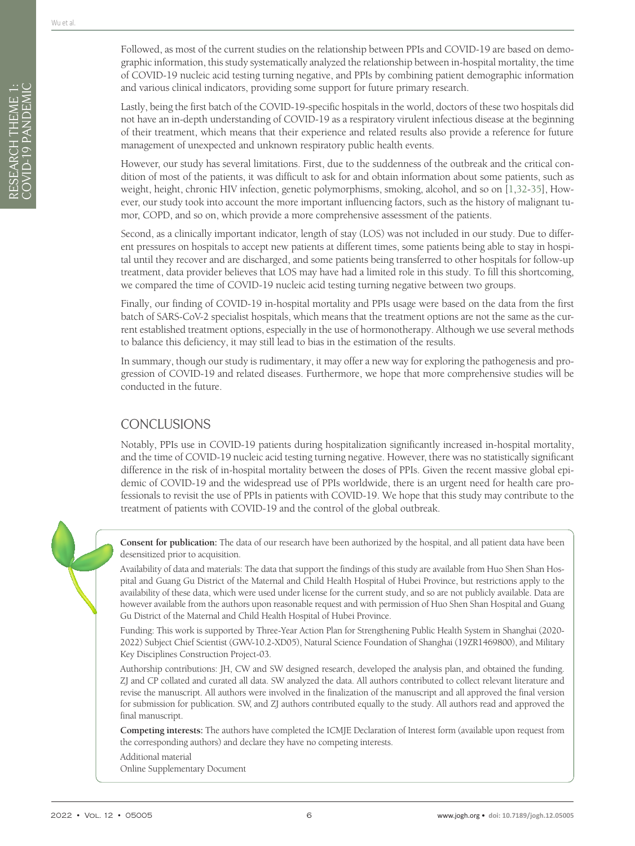Followed, as most of the current studies on the relationship between PPIs and COVID-19 are based on demographic information, this study systematically analyzed the relationship between in-hospital mortality, the time of COVID-19 nucleic acid testing turning negative, and PPIs by combining patient demographic information and various clinical indicators, providing some support for future primary research.

Lastly, being the first batch of the COVID-19-specific hospitals in the world, doctors of these two hospitals did not have an in-depth understanding of COVID-19 as a respiratory virulent infectious disease at the beginning of their treatment, which means that their experience and related results also provide a reference for future management of unexpected and unknown respiratory public health events.

However, our study has several limitations. First, due to the suddenness of the outbreak and the critical condition of most of the patients, it was difficult to ask for and obtain information about some patients, such as weight, height, chronic HIV infection, genetic polymorphisms, smoking, alcohol, and so on [\[1](#page-6-0)[,32-](#page-7-6)[35](#page-7-7)], However, our study took into account the more important influencing factors, such as the history of malignant tumor, COPD, and so on, which provide a more comprehensive assessment of the patients.

Second, as a clinically important indicator, length of stay (LOS) was not included in our study. Due to different pressures on hospitals to accept new patients at different times, some patients being able to stay in hospital until they recover and are discharged, and some patients being transferred to other hospitals for follow-up treatment, data provider believes that LOS may have had a limited role in this study. To fill this shortcoming, we compared the time of COVID-19 nucleic acid testing turning negative between two groups.

Finally, our finding of COVID-19 in-hospital mortality and PPIs usage were based on the data from the first batch of SARS-CoV-2 specialist hospitals, which means that the treatment options are not the same as the current established treatment options, especially in the use of hormonotherapy. Although we use several methods to balance this deficiency, it may still lead to bias in the estimation of the results.

In summary, though our study is rudimentary, it may offer a new way for exploring the pathogenesis and progression of COVID-19 and related diseases. Furthermore, we hope that more comprehensive studies will be conducted in the future.

# CONCLUSIONS

Notably, PPIs use in COVID-19 patients during hospitalization significantly increased in-hospital mortality, and the time of COVID-19 nucleic acid testing turning negative. However, there was no statistically significant difference in the risk of in-hospital mortality between the doses of PPIs. Given the recent massive global epidemic of COVID-19 and the widespread use of PPIs worldwide, there is an urgent need for health care professionals to revisit the use of PPIs in patients with COVID-19. We hope that this study may contribute to the treatment of patients with COVID-19 and the control of the global outbreak.

**Consent for publication:** The data of our research have been authorized by the hospital, and all patient data have been desensitized prior to acquisition.

Availability of data and materials: The data that support the findings of this study are available from Huo Shen Shan Hospital and Guang Gu District of the Maternal and Child Health Hospital of Hubei Province, but restrictions apply to the availability of these data, which were used under license for the current study, and so are not publicly available. Data are however available from the authors upon reasonable request and with permission of Huo Shen Shan Hospital and Guang Gu District of the Maternal and Child Health Hospital of Hubei Province.

Funding: This work is supported by Three-Year Action Plan for Strengthening Public Health System in Shanghai (2020- 2022) Subject Chief Scientist (GWV-10.2-XD05), Natural Science Foundation of Shanghai (19ZR1469800), and Military Key Disciplines Construction Project-03.

Authorship contributions: JH, CW and SW designed research, developed the analysis plan, and obtained the funding. ZJ and CP collated and curated all data. SW analyzed the data. All authors contributed to collect relevant literature and revise the manuscript. All authors were involved in the finalization of the manuscript and all approved the final version for submission for publication. SW, and ZJ authors contributed equally to the study. All authors read and approved the final manuscript.

**Competing interests:** The authors have completed the ICMJE Declaration of Interest form (available upon request from the corresponding authors) and declare they have no competing interests.

Additional material

<span id="page-5-0"></span>[Online Supplementary Document](https://jogh.org/documents/2022/jogh-12-05005-s001.pdf)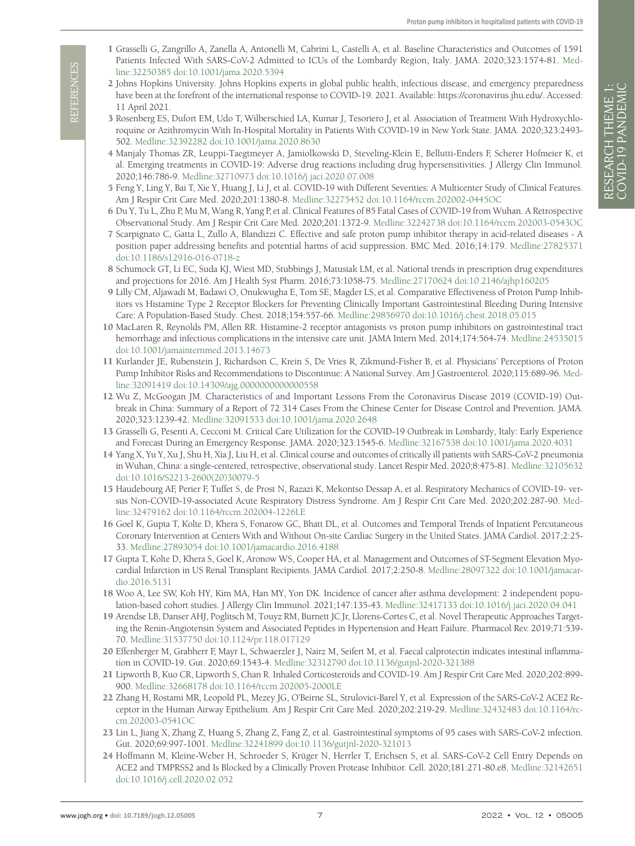- <span id="page-6-0"></span>1 Grasselli G, Zangrillo A, Zanella A, Antonelli M, Cabrini L, Castelli A, et al. Baseline Characteristics and Outcomes of 1591 Patients Infected With SARS-CoV-2 Admitted to ICUs of the Lombardy Region, Italy. JAMA. 2020;323:1574-81. [Med](https://www.ncbi.nlm.nih.gov/entrez/query.fcgi?cmd=Retrieve&db=PubMed&list_uids=32250385&dopt=Abstract)[line:32250385](https://www.ncbi.nlm.nih.gov/entrez/query.fcgi?cmd=Retrieve&db=PubMed&list_uids=32250385&dopt=Abstract) [doi:10.1001/jama.2020.5394](https://doi.org/10.1001/jama.2020.5394)
- <span id="page-6-1"></span>2 Johns Hopkins University. Johns Hopkins experts in global public health, infectious disease, and emergency preparedness have been at the forefront of the international response to COVID-19. 2021. Available: https://coronavirus.jhu.edu/. Accessed: 11 April 2021.
- <span id="page-6-2"></span>3 Rosenberg ES, Dufort EM, Udo T, Wilberschied LA, Kumar J, Tesoriero J, et al. Association of Treatment With Hydroxychloroquine or Azithromycin With In-Hospital Mortality in Patients With COVID-19 in New York State. JAMA. 2020;323:2493- 502. [Medline:32392282](https://www.ncbi.nlm.nih.gov/entrez/query.fcgi?cmd=Retrieve&db=PubMed&list_uids=32392282&dopt=Abstract) [doi:10.1001/jama.2020.8630](https://doi.org/10.1001/jama.2020.8630)
- 4 Manjaly Thomas ZR, Leuppi-Taegtmeyer A, Jamiolkowski D, Steveling-Klein E, Bellutti-Enders F, Scherer Hofmeier K, et al. Emerging treatments in COVID-19: Adverse drug reactions including drug hypersensitivities. J Allergy Clin Immunol. 2020;146:786-9. [Medline:32710973](https://www.ncbi.nlm.nih.gov/entrez/query.fcgi?cmd=Retrieve&db=PubMed&list_uids=32710973&dopt=Abstract) [doi:10.1016/j.jaci.2020.07.008](https://doi.org/10.1016/j.jaci.2020.07.008)
- 5 Feng Y, Ling Y, Bai T, Xie Y, Huang J, Li J, et al. COVID-19 with Different Severities: A Multicenter Study of Clinical Features. Am J Respir Crit Care Med. 2020;201:1380-8. [Medline:32275452](https://www.ncbi.nlm.nih.gov/entrez/query.fcgi?cmd=Retrieve&db=PubMed&list_uids=32275452&dopt=Abstract) [doi:10.1164/rccm.202002-0445OC](https://doi.org/10.1164/rccm.202002-0445OC)
- <span id="page-6-3"></span>6 Du Y, Tu L, Zhu P, Mu M, Wang R, Yang P, et al. Clinical Features of 85 Fatal Cases of COVID-19 from Wuhan. A Retrospective Observational Study. Am J Respir Crit Care Med. 2020;201:1372-9. [Medline:32242738](https://www.ncbi.nlm.nih.gov/entrez/query.fcgi?cmd=Retrieve&db=PubMed&list_uids=32242738&dopt=Abstract) [doi:10.1164/rccm.202003-0543OC](https://doi.org/10.1164/rccm.202003-0543OC)
- <span id="page-6-4"></span>7 Scarpignato C, Gatta L, Zullo A, Blandizzi C. Effective and safe proton pump inhibitor therapy in acid-related diseases - A position paper addressing benefits and potential harms of acid suppression. BMC Med. 2016;14:179. [Medline:27825371](https://www.ncbi.nlm.nih.gov/entrez/query.fcgi?cmd=Retrieve&db=PubMed&list_uids=27825371&dopt=Abstract) [doi:10.1186/s12916-016-0718-z](https://doi.org/10.1186/s12916-016-0718-z)
- <span id="page-6-17"></span><span id="page-6-16"></span><span id="page-6-15"></span><span id="page-6-14"></span><span id="page-6-13"></span><span id="page-6-12"></span><span id="page-6-11"></span><span id="page-6-10"></span><span id="page-6-9"></span><span id="page-6-8"></span><span id="page-6-7"></span><span id="page-6-6"></span><span id="page-6-5"></span>8 Schumock GT, Li EC, Suda KJ, Wiest MD, Stubbings J, Matusiak LM, et al. National trends in prescription drug expenditures and projections for 2016. Am J Health Syst Pharm. 2016;73:1058-75. [Medline:27170624](https://www.ncbi.nlm.nih.gov/entrez/query.fcgi?cmd=Retrieve&db=PubMed&list_uids=27170624&dopt=Abstract) [doi:10.2146/ajhp160205](https://doi.org/10.2146/ajhp160205)
- We can constrained the signal of the signal of the signal of the signal of the signal of the signal of the signal of the signal of the signal of the signal of the signal of the signal of the signal of the signal of the s 9 Lilly CM, Aljawadi M, Badawi O, Onukwugha E, Tom SE, Magder LS, et al. Comparative Effectiveness of Proton Pump Inhibitors vs Histamine Type 2 Receptor Blockers for Preventing Clinically Important Gastrointestinal Bleeding During Intensive Care: A Population-Based Study. Chest. 2018;154:557-66. [Medline:29856970](https://www.ncbi.nlm.nih.gov/entrez/query.fcgi?cmd=Retrieve&db=PubMed&list_uids=29856970&dopt=Abstract) [doi:10.1016/j.chest.2018.05.015](https://doi.org/10.1016/j.chest.2018.05.015)
	- 10 MacLaren R, Reynolds PM, Allen RR. Histamine-2 receptor antagonists vs proton pump inhibitors on gastrointestinal tract hemorrhage and infectious complications in the intensive care unit. JAMA Intern Med. 2014;174:564-74. [Medline:24535015](https://www.ncbi.nlm.nih.gov/entrez/query.fcgi?cmd=Retrieve&db=PubMed&list_uids=24535015&dopt=Abstract) [doi:10.1001/jamainternmed.2013.14673](https://doi.org/10.1001/jamainternmed.2013.14673)
	- 11 Kurlander JE, Rubenstein J, Richardson C, Krein S, De Vries R, Zikmund-Fisher B, et al. Physicians' Perceptions of Proton Pump Inhibitor Risks and Recommendations to Discontinue: A National Survey. Am J Gastroenterol. 2020;115:689-96. [Med](https://www.ncbi.nlm.nih.gov/entrez/query.fcgi?cmd=Retrieve&db=PubMed&list_uids=32091419&dopt=Abstract)[line:32091419](https://www.ncbi.nlm.nih.gov/entrez/query.fcgi?cmd=Retrieve&db=PubMed&list_uids=32091419&dopt=Abstract) [doi:10.14309/ajg.0000000000000558](https://doi.org/10.14309/ajg.0000000000000558)
	- 12 Wu Z, McGoogan JM. Characteristics of and Important Lessons From the Coronavirus Disease 2019 (COVID-19) Outbreak in China: Summary of a Report of 72 314 Cases From the Chinese Center for Disease Control and Prevention. JAMA. 2020;323:1239-42. [Medline:32091533](https://www.ncbi.nlm.nih.gov/entrez/query.fcgi?cmd=Retrieve&db=PubMed&list_uids=32091533&dopt=Abstract) [doi:10.1001/jama.2020.2648](https://doi.org/10.1001/jama.2020.2648)
	- 13 Grasselli G, Pesenti A, Cecconi M. Critical Care Utilization for the COVID-19 Outbreak in Lombardy, Italy: Early Experience and Forecast During an Emergency Response. JAMA. 2020;323:1545-6. [Medline:32167538](https://www.ncbi.nlm.nih.gov/entrez/query.fcgi?cmd=Retrieve&db=PubMed&list_uids=32167538&dopt=Abstract) [doi:10.1001/jama.2020.4031](https://doi.org/10.1001/jama.2020.4031)
	- 14 Yang X, Yu Y, Xu J, Shu H, Xia J, Liu H, et al. Clinical course and outcomes of critically ill patients with SARS-CoV-2 pneumonia in Wuhan, China: a single-centered, retrospective, observational study. Lancet Respir Med. 2020;8:475-81. [Medline:32105632](https://www.ncbi.nlm.nih.gov/entrez/query.fcgi?cmd=Retrieve&db=PubMed&list_uids=32105632&dopt=Abstract) [doi:10.1016/S2213-2600\(20\)30079-5](https://doi.org/10.1016/S2213-2600(20)30079-5)
	- 15 Haudebourg AF, Perier F, Tuffet S, de Prost N, Razazi K, Mekontso Dessap A, et al. Respiratory Mechanics of COVID-19- versus Non-COVID-19-associated Acute Respiratory Distress Syndrome. Am J Respir Crit Care Med. 2020;202:287-90. [Med](https://www.ncbi.nlm.nih.gov/entrez/query.fcgi?cmd=Retrieve&db=PubMed&list_uids=32479162&dopt=Abstract)[line:32479162](https://www.ncbi.nlm.nih.gov/entrez/query.fcgi?cmd=Retrieve&db=PubMed&list_uids=32479162&dopt=Abstract) [doi:10.1164/rccm.202004-1226LE](https://doi.org/10.1164/rccm.202004-1226LE)
	- 16 Goel K, Gupta T, Kolte D, Khera S, Fonarow GC, Bhatt DL, et al. Outcomes and Temporal Trends of Inpatient Percutaneous Coronary Intervention at Centers With and Without On-site Cardiac Surgery in the United States. JAMA Cardiol. 2017;2:25- 33. [Medline:27893054](https://www.ncbi.nlm.nih.gov/entrez/query.fcgi?cmd=Retrieve&db=PubMed&list_uids=27893054&dopt=Abstract) [doi:10.1001/jamacardio.2016.4188](https://doi.org/10.1001/jamacardio.2016.4188)
	- 17 Gupta T, Kolte D, Khera S, Goel K, Aronow WS, Cooper HA, et al. Management and Outcomes of ST-Segment Elevation Myocardial Infarction in US Renal Transplant Recipients. JAMA Cardiol. 2017;2:250-8. [Medline:28097322](https://www.ncbi.nlm.nih.gov/entrez/query.fcgi?cmd=Retrieve&db=PubMed&list_uids=28097322&dopt=Abstract) [doi:10.1001/jamacar](https://doi.org/10.1001/jamacardio.2016.5131)[dio.2016.5131](https://doi.org/10.1001/jamacardio.2016.5131)
	- 18 Woo A, Lee SW, Koh HY, Kim MA, Han MY, Yon DK. Incidence of cancer after asthma development: 2 independent population-based cohort studies. J Allergy Clin Immunol. 2021;147:135-43. [Medline:32417133](https://www.ncbi.nlm.nih.gov/entrez/query.fcgi?cmd=Retrieve&db=PubMed&list_uids=32417133&dopt=Abstract) [doi:10.1016/j.jaci.2020.04.041](https://doi.org/10.1016/j.jaci.2020.04.041)
	- 19 Arendse LB, Danser AHJ, Poglitsch M, Touyz RM, Burnett JC Jr, Llorens-Cortes C, et al. Novel Therapeutic Approaches Targeting the Renin-Angiotensin System and Associated Peptides in Hypertension and Heart Failure. Pharmacol Rev. 2019;71:539- 70. [Medline:31537750](https://www.ncbi.nlm.nih.gov/entrez/query.fcgi?cmd=Retrieve&db=PubMed&list_uids=31537750&dopt=Abstract) [doi:10.1124/pr.118.017129](https://doi.org/10.1124/pr.118.017129)
	- 20 Effenberger M, Grabherr F, Mayr L, Schwaerzler J, Nairz M, Seifert M, et al. Faecal calprotectin indicates intestinal inflammation in COVID-19. Gut. 2020;69:1543-4. [Medline:32312790](https://www.ncbi.nlm.nih.gov/entrez/query.fcgi?cmd=Retrieve&db=PubMed&list_uids=32312790&dopt=Abstract) [doi:10.1136/gutjnl-2020-321388](https://doi.org/10.1136/gutjnl-2020-321388)
	- 21 Lipworth B, Kuo CR, Lipworth S, Chan R. Inhaled Corticosteroids and COVID-19. Am J Respir Crit Care Med. 2020;202:899- 900. [Medline:32668178](https://www.ncbi.nlm.nih.gov/entrez/query.fcgi?cmd=Retrieve&db=PubMed&list_uids=32668178&dopt=Abstract) [doi:10.1164/rccm.202005-2000LE](https://doi.org/10.1164/rccm.202005-2000LE)
	- 22 Zhang H, Rostami MR, Leopold PL, Mezey JG, O'Beirne SL, Strulovici-Barel Y, et al. Expression of the SARS-CoV-2 ACE2 Receptor in the Human Airway Epithelium. Am J Respir Crit Care Med. 2020;202:219-29. [Medline:32432483](https://www.ncbi.nlm.nih.gov/entrez/query.fcgi?cmd=Retrieve&db=PubMed&list_uids=32432483&dopt=Abstract) [doi:10.1164/rc](https://doi.org/10.1164/rccm.202003-0541OC)[cm.202003-0541OC](https://doi.org/10.1164/rccm.202003-0541OC)
	- 23 Lin L, Jiang X, Zhang Z, Huang S, Zhang Z, Fang Z, et al. Gastrointestinal symptoms of 95 cases with SARS-CoV-2 infection. Gut. 2020;69:997-1001. [Medline:32241899](https://www.ncbi.nlm.nih.gov/entrez/query.fcgi?cmd=Retrieve&db=PubMed&list_uids=32241899&dopt=Abstract) [doi:10.1136/gutjnl-2020-321013](https://doi.org/10.1136/gutjnl-2020-321013)
	- 24 Hoffmann M, Kleine-Weber H, Schroeder S, Krüger N, Herrler T, Erichsen S, et al. SARS-CoV-2 Cell Entry Depends on ACE2 and TMPRSS2 and Is Blocked by a Clinically Proven Protease Inhibitor. Cell. 2020;181:271-80.e8. [Medline:32142651](https://www.ncbi.nlm.nih.gov/entrez/query.fcgi?cmd=Retrieve&db=PubMed&list_uids=32142651&dopt=Abstract) [doi:10.1016/j.cell.2020.02.052](https://doi.org/10.1016/j.cell.2020.02.052)